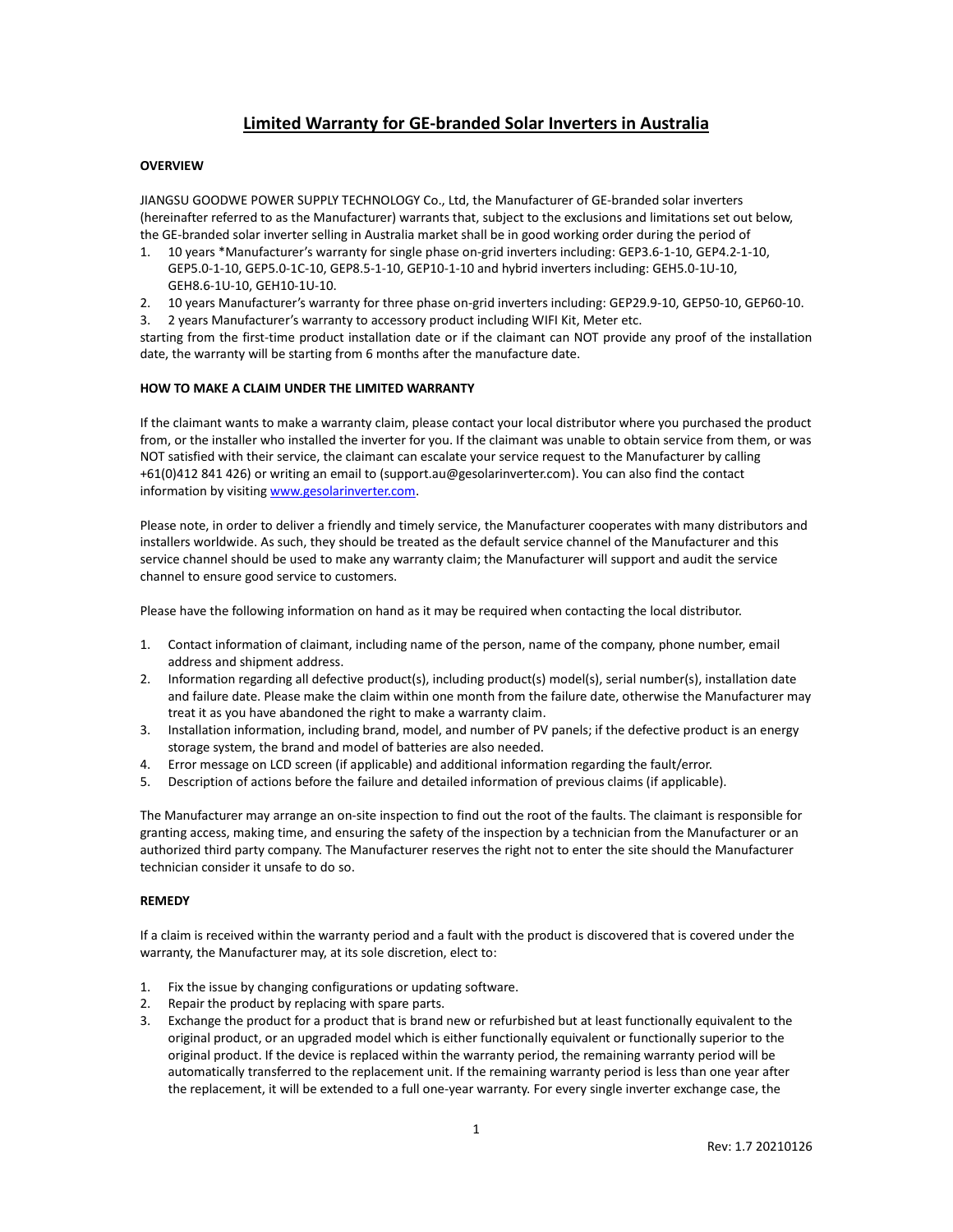# **Limited Warranty for GE-branded Solar Inverters in Australia**

# **OVERVIEW**

JIANGSU GOODWE POWER SUPPLY TECHNOLOGY Co., Ltd, the Manufacturer of GE-branded solar inverters (hereinafter referred to as the Manufacturer) warrants that, subject to the exclusions and limitations set out below, the GE-branded solar inverter selling in Australia market shall be in good working order during the period of

- 1. 10 years \*Manufacturer's warranty for single phase on-grid inverters including: GEP3.6-1-10, GEP4.2-1-10, GEP5.0-1-10, GEP5.0-1C-10, GEP8.5-1-10, GEP10-1-10 and hybrid inverters including: GEH5.0-1U-10, GEH8.6-1U-10, GEH10-1U-10.
- 2. 10 years Manufacturer's warranty for three phase on-grid inverters including: GEP29.9-10, GEP50-10, GEP60-10.
- 3. 2 years Manufacturer's warranty to accessory product including WIFI Kit, Meter etc.

starting from the first-time product installation date or if the claimant can NOT provide any proof of the installation date, the warranty will be starting from 6 months after the manufacture date.

#### **HOW TO MAKE A CLAIM UNDER THE LIMITED WARRANTY**

If the claimant wants to make a warranty claim, please contact your local distributor where you purchased the product from, or the installer who installed the inverter for you. If the claimant was unable to obtain service from them, or was NOT satisfied with their service, the claimant can escalate your service request to the Manufacturer by calling +61(0)412 841 426) or writing an email to [\(support.au@gesolarinverter.com\)](mailto:support.au@gesolarinverter.com). You can also find the contact information by visiting [www.gesolarinverter.com.](http://www.gesolarinverter.com/)

Please note, in order to deliver a friendly and timely service, the Manufacturer cooperates with many distributors and installers worldwide. As such, they should be treated as the default service channel of the Manufacturer and this service channel should be used to make any warranty claim; the Manufacturer will support and audit the service channel to ensure good service to customers.

Please have the following information on hand as it may be required when contacting the local distributor.

- 1. Contact information of claimant, including name of the person, name of the company, phone number, email address and shipment address.
- 2. Information regarding all defective product(s), including product(s) model(s), serial number(s), installation date and failure date. Please make the claim within one month from the failure date, otherwise the Manufacturer may treat it as you have abandoned the right to make a warranty claim.
- 3. Installation information, including brand, model, and number of PV panels; if the defective product is an energy storage system, the brand and model of batteries are also needed.
- 4. Error message on LCD screen (if applicable) and additional information regarding the fault/error.
- 5. Description of actions before the failure and detailed information of previous claims (if applicable).

The Manufacturer may arrange an on-site inspection to find out the root of the faults. The claimant is responsible for granting access, making time, and ensuring the safety of the inspection by a technician from the Manufacturer or an authorized third party company. The Manufacturer reserves the right not to enter the site should the Manufacturer technician consider it unsafe to do so.

#### **REMEDY**

If a claim is received within the warranty period and a fault with the product is discovered that is covered under the warranty, the Manufacturer may, at its sole discretion, elect to:

- 1. Fix the issue by changing configurations or updating software.
- 2. Repair the product by replacing with spare parts.
- 3. Exchange the product for a product that is brand new or refurbished but at least functionally equivalent to the original product, or an upgraded model which is either functionally equivalent or functionally superior to the original product. If the device is replaced within the warranty period, the remaining warranty period will be automatically transferred to the replacement unit. If the remaining warranty period is less than one year after the replacement, it will be extended to a full one-year warranty. For every single inverter exchange case, the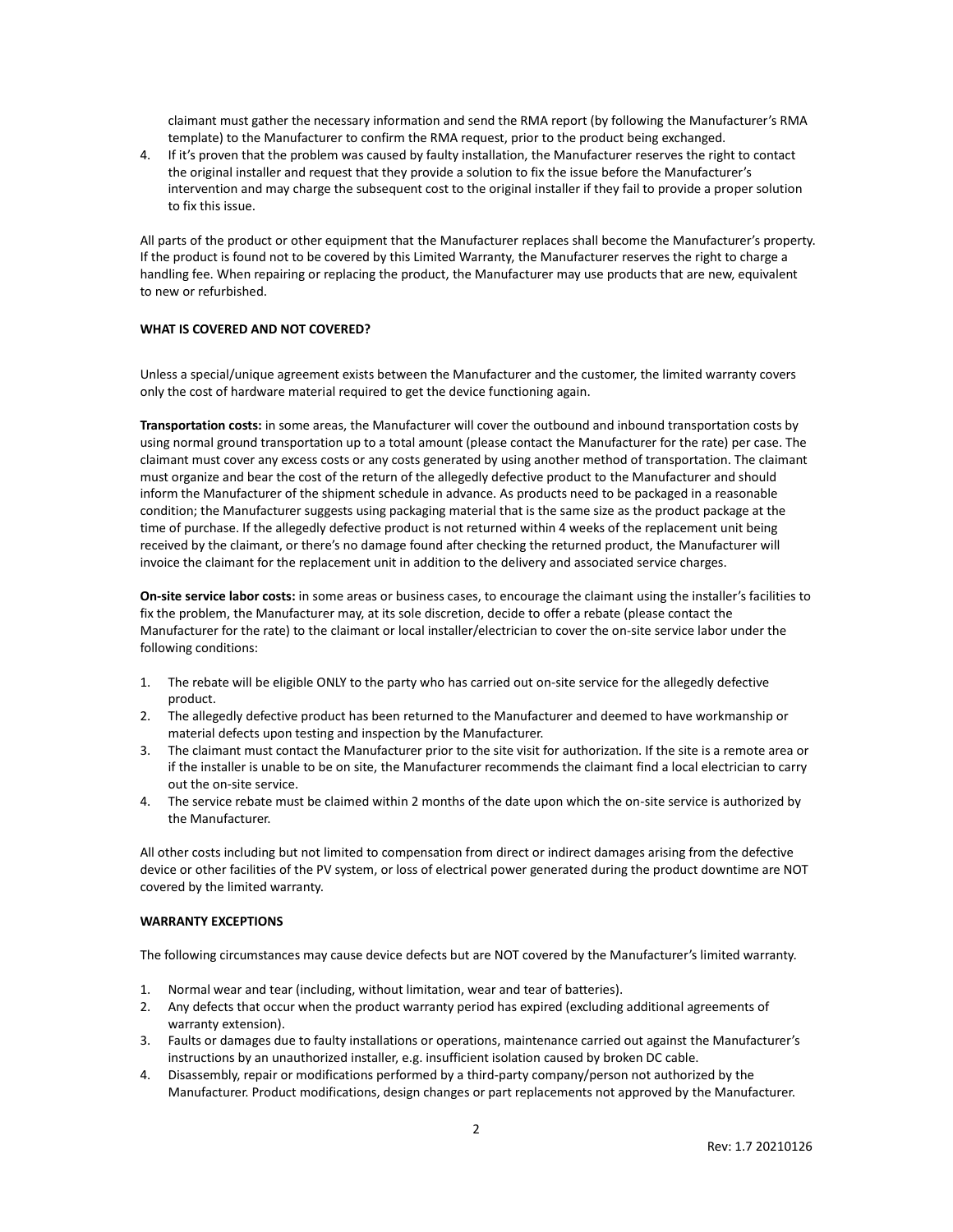claimant must gather the necessary information and send the RMA report (by following the Manufacturer's RMA template) to the Manufacturer to confirm the RMA request, prior to the product being exchanged.

4. If it's proven that the problem was caused by faulty installation, the Manufacturer reserves the right to contact the original installer and request that they provide a solution to fix the issue before the Manufacturer's intervention and may charge the subsequent cost to the original installer if they fail to provide a proper solution to fix this issue.

All parts of the product or other equipment that the Manufacturer replaces shall become the Manufacturer's property. If the product is found not to be covered by this Limited Warranty, the Manufacturer reserves the right to charge a handling fee. When repairing or replacing the product, the Manufacturer may use products that are new, equivalent to new or refurbished.

#### **WHAT IS COVERED AND NOT COVERED?**

Unless a special/unique agreement exists between the Manufacturer and the customer, the limited warranty covers only the cost of hardware material required to get the device functioning again.

**Transportation costs:** in some areas, the Manufacturer will cover the outbound and inbound transportation costs by using normal ground transportation up to a total amount (please contact the Manufacturer for the rate) per case. The claimant must cover any excess costs or any costs generated by using another method of transportation. The claimant must organize and bear the cost of the return of the allegedly defective product to the Manufacturer and should inform the Manufacturer of the shipment schedule in advance. As products need to be packaged in a reasonable condition; the Manufacturer suggests using packaging material that is the same size as the product package at the time of purchase. If the allegedly defective product is not returned within 4 weeks of the replacement unit being received by the claimant, or there's no damage found after checking the returned product, the Manufacturer will invoice the claimant for the replacement unit in addition to the delivery and associated service charges.

**On-site service labor costs:** in some areas or business cases, to encourage the claimant using the installer's facilities to fix the problem, the Manufacturer may, at its sole discretion, decide to offer a rebate (please contact the Manufacturer for the rate) to the claimant or local installer/electrician to cover the on-site service labor under the following conditions:

- 1. The rebate will be eligible ONLY to the party who has carried out on-site service for the allegedly defective product.
- 2. The allegedly defective product has been returned to the Manufacturer and deemed to have workmanship or material defects upon testing and inspection by the Manufacturer.
- 3. The claimant must contact the Manufacturer prior to the site visit for authorization. If the site is a remote area or if the installer is unable to be on site, the Manufacturer recommends the claimant find a local electrician to carry out the on-site service.
- 4. The service rebate must be claimed within 2 months of the date upon which the on-site service is authorized by the Manufacturer.

All other costs including but not limited to compensation from direct or indirect damages arising from the defective device or other facilities of the PV system, or loss of electrical power generated during the product downtime are NOT covered by the limited warranty.

### **WARRANTY EXCEPTIONS**

The following circumstances may cause device defects but are NOT covered by the Manufacturer's limited warranty.

- 1. Normal wear and tear (including, without limitation, wear and tear of batteries).
- 2. Any defects that occur when the product warranty period has expired (excluding additional agreements of warranty extension).
- 3. Faults or damages due to faulty installations or operations, maintenance carried out against the Manufacturer's instructions by an unauthorized installer, e.g. insufficient isolation caused by broken DC cable.
- 4. Disassembly, repair or modifications performed by a third-party company/person not authorized by the Manufacturer. Product modifications, design changes or part replacements not approved by the Manufacturer.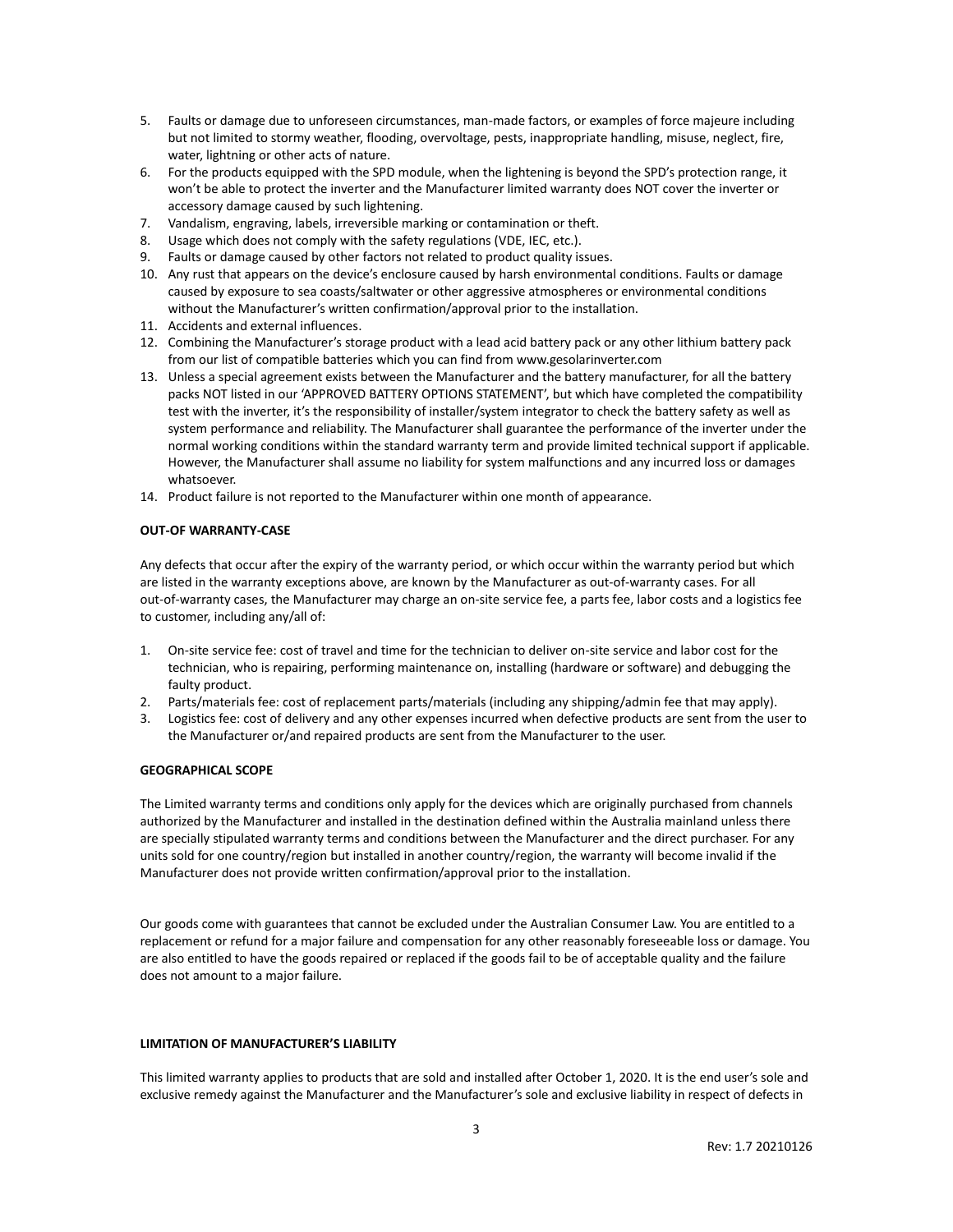- 5. Faults or damage due to unforeseen circumstances, man-made factors, or examples of force majeure including but not limited to stormy weather, flooding, overvoltage, pests, inappropriate handling, misuse, neglect, fire, water, lightning or other acts of nature.
- 6. For the products equipped with the SPD module, when the lightening is beyond the SPD's protection range, it won't be able to protect the inverter and the Manufacturer limited warranty does NOT cover the inverter or accessory damage caused by such lightening.
- 7. Vandalism, engraving, labels, irreversible marking or contamination or theft.
- 8. Usage which does not comply with the safety regulations (VDE, IEC, etc.).
- 9. Faults or damage caused by other factors not related to product quality issues.
- 10. Any rust that appears on the device's enclosure caused by harsh environmental conditions. Faults or damage caused by exposure to sea coasts/saltwater or other aggressive atmospheres or environmental conditions without the Manufacturer's written confirmation/approval prior to the installation.
- 11. Accidents and external influences.
- 12. Combining the Manufacturer's storage product with a lead acid battery pack or any other lithium battery pack from our list of compatible batteries which you can find from www.gesolarinverter.com
- 13. Unless a special agreement exists between the Manufacturer and the battery manufacturer, for all the battery packs NOT listed in our 'APPROVED BATTERY OPTIONS STATEMENT', but which have completed the compatibility test with the inverter, it's the responsibility of installer/system integrator to check the battery safety as well as system performance and reliability. The Manufacturer shall guarantee the performance of the inverter under the normal working conditions within the standard warranty term and provide limited technical support if applicable. However, the Manufacturer shall assume no liability for system malfunctions and any incurred loss or damages whatsoever.
- 14. Product failure is not reported to the Manufacturer within one month of appearance.

#### **OUT-OF WARRANTY-CASE**

Any defects that occur after the expiry of the warranty period, or which occur within the warranty period but which are listed in the warranty exceptions above, are known by the Manufacturer as out-of-warranty cases. For all out-of-warranty cases, the Manufacturer may charge an on-site service fee, a parts fee, labor costs and a logistics fee to customer, including any/all of:

- 1. On-site service fee: cost of travel and time for the technician to deliver on-site service and labor cost for the technician, who is repairing, performing maintenance on, installing (hardware or software) and debugging the faulty product.
- 2. Parts/materials fee: cost of replacement parts/materials (including any shipping/admin fee that may apply).
- 3. Logistics fee: cost of delivery and any other expenses incurred when defective products are sent from the user to the Manufacturer or/and repaired products are sent from the Manufacturer to the user.

# **GEOGRAPHICAL SCOPE**

The Limited warranty terms and conditions only apply for the devices which are originally purchased from channels authorized by the Manufacturer and installed in the destination defined within the Australia mainland unless there are specially stipulated warranty terms and conditions between the Manufacturer and the direct purchaser. For any units sold for one country/region but installed in another country/region, the warranty will become invalid if the Manufacturer does not provide written confirmation/approval prior to the installation.

Our goods come with guarantees that cannot be excluded under the Australian Consumer Law. You are entitled to a replacement or refund for a major failure and compensation for any other reasonably foreseeable loss or damage. You are also entitled to have the goods repaired or replaced if the goods fail to be of acceptable quality and the failure does not amount to a major failure.

# **LIMITATION OF MANUFACTURER'S LIABILITY**

This limited warranty applies to products that are sold and installed after October 1, 2020. It is the end user's sole and exclusive remedy against the Manufacturer and the Manufacturer's sole and exclusive liability in respect of defects in